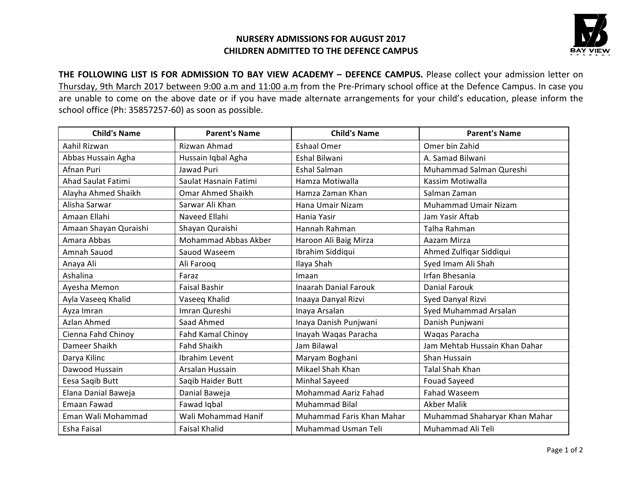## **NURSERY ADMISSIONS FOR AUGUST 2017 CHILDREN ADMITTED TO THE DEFENCE CAMPUS**



THE FOLLOWING LIST IS FOR ADMISSION TO BAY VIEW ACADEMY - DEFENCE CAMPUS. Please collect your admission letter on Thursday, 9th March 2017 between 9:00 a.m and 11:00 a.m from the Pre-Primary school office at the Defence Campus. In case you are unable to come on the above date or if you have made alternate arrangements for your child's education, please inform the school office (Ph: 35857257-60) as soon as possible.

| <b>Child's Name</b>   | <b>Parent's Name</b>        | <b>Child's Name</b>          | <b>Parent's Name</b>          |
|-----------------------|-----------------------------|------------------------------|-------------------------------|
| Aahil Rizwan          | Rizwan Ahmad                | <b>Eshaal Omer</b>           | Omer bin Zahid                |
| Abbas Hussain Agha    | Hussain Iqbal Agha          | <b>Eshal Bilwani</b>         | A. Samad Bilwani              |
| Afnan Puri            | Jawad Puri                  | <b>Eshal Salman</b>          | Muhammad Salman Qureshi       |
| Ahad Saulat Fatimi    | Saulat Hasnain Fatimi       | Hamza Motiwalla              | Kassim Motiwalla              |
| Alayha Ahmed Shaikh   | <b>Omar Ahmed Shaikh</b>    | Hamza Zaman Khan             | Salman Zaman                  |
| Alisha Sarwar         | Sarwar Ali Khan             | Hana Umair Nizam             | <b>Muhammad Umair Nizam</b>   |
| Amaan Ellahi          | Naveed Ellahi               | Hania Yasir                  | Jam Yasir Aftab               |
| Amaan Shayan Quraishi | Shayan Quraishi             | Hannah Rahman                | Talha Rahman                  |
| Amara Abbas           | <b>Mohammad Abbas Akber</b> | Haroon Ali Baig Mirza        | Aazam Mirza                   |
| Amnah Sauod           | Sauod Waseem                | Ibrahim Siddiqui             | Ahmed Zulfiqar Siddiqui       |
| Anaya Ali             | Ali Farooq                  | Ilaya Shah                   | Syed Imam Ali Shah            |
| Ashalina              | Faraz                       | Imaan                        | <b>Irfan Bhesania</b>         |
| Ayesha Memon          | <b>Faisal Bashir</b>        | <b>Inaarah Danial Farouk</b> | <b>Danial Farouk</b>          |
| Ayla Vaseeq Khalid    | Vaseeq Khalid               | Inaaya Danyal Rizvi          | Syed Danyal Rizvi             |
| Ayza Imran            | Imran Qureshi               | Inaya Arsalan                | Syed Muhammad Arsalan         |
| Azlan Ahmed           | Saad Ahmed                  | Inaya Danish Punjwani        | Danish Punjwani               |
| Cienna Fahd Chinoy    | <b>Fahd Kamal Chinoy</b>    | Inayah Waqas Paracha         | Waqas Paracha                 |
| Dameer Shaikh         | <b>Fahd Shaikh</b>          | Jam Bilawal                  | Jam Mehtab Hussain Khan Dahar |
| Darya Kilinc          | Ibrahim Levent              | Maryam Boghani               | Shan Hussain                  |
| Dawood Hussain        | Arsalan Hussain             | Mikael Shah Khan             | <b>Talal Shah Khan</b>        |
| Eesa Saqib Butt       | Saqib Haider Butt           | Minhal Sayeed                | <b>Fouad Sayeed</b>           |
| Elana Danial Baweja   | Danial Baweja               | <b>Mohammad Aariz Fahad</b>  | <b>Fahad Waseem</b>           |
| Emaan Fawad           | Fawad Iqbal                 | <b>Muhammad Bilal</b>        | <b>Akber Malik</b>            |
| Eman Wali Mohammad    | Wali Mohammad Hanif         | Muhammad Faris Khan Mahar    | Muhammad Shaharyar Khan Mahar |
| Esha Faisal           | <b>Faisal Khalid</b>        | Muhammad Usman Teli          | Muhammad Ali Teli             |